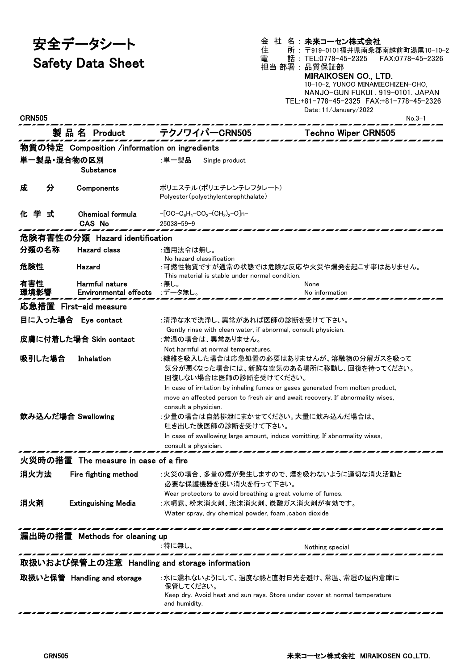安全データシート

Safety Data Sheet

会 社 名:**未来コーセン株式会社**<br>住 所:〒919−0101福井県声冬型 住 所 : 〒919-0101福井県南条郡南越前町湯尾10-10-2 話: TEL:0778-45-2325 FAX:0778-45-2326 電 話:TEL:0778-45<br>担当 部署:品質保証部<br>———————————————————— MIRAIKOSEN CO., LTD. 10-10-2, YUNOO MINAMIECHIZEN-CHO, NANJO-GUN FUKUI . 919-0101. JAPAN TEL:+81-778-45-2325 FAX:+81-778-45-2326

| <b>CRN505</b>                                 |                                |                                               |                                                                                             | Date: 11/January/2022<br>$No.3-1$ |  |  |  |
|-----------------------------------------------|--------------------------------|-----------------------------------------------|---------------------------------------------------------------------------------------------|-----------------------------------|--|--|--|
|                                               |                                | 製品名 Product                                   | テクノワイパーCRN505                                                                               | <b>Techno Wiper CRN505</b>        |  |  |  |
|                                               |                                | 物質の特定 Composition /information on ingredients |                                                                                             |                                   |  |  |  |
|                                               |                                | 単一製品・混合物の区別                                   | :単一製品<br>Single product                                                                     |                                   |  |  |  |
|                                               |                                | Substance                                     |                                                                                             |                                   |  |  |  |
|                                               |                                |                                               |                                                                                             |                                   |  |  |  |
| 成                                             | 分                              | Components                                    | ポリエステル(ポリエチレンテレフタレート)<br>Polyester (polyethylenterephthalate)                               |                                   |  |  |  |
|                                               |                                |                                               |                                                                                             |                                   |  |  |  |
| 学<br>1Ľ –                                     | 式                              | <b>Chemical formula</b>                       | $-[OC-C_6H_4-CO_2-(CH_2)_2-O]n-$                                                            |                                   |  |  |  |
|                                               |                                | <b>CAS No</b>                                 | $25038 - 59 - 9$                                                                            |                                   |  |  |  |
|                                               | 危険有害性の分類 Hazard identification |                                               |                                                                                             |                                   |  |  |  |
| 分類の名称                                         |                                | <b>Hazard class</b>                           | :適用法令は無し。                                                                                   |                                   |  |  |  |
| 危険性                                           |                                | Hazard                                        | No hazard classification<br>:可燃性物質ですが通常の状態では危険な反応や火災や爆発を起こす事はありません。                         |                                   |  |  |  |
|                                               |                                |                                               | This material is stable under normal condition.                                             |                                   |  |  |  |
| 有害性                                           |                                | Harmful nature                                | :無し。                                                                                        | None                              |  |  |  |
| 環境影響                                          |                                | <b>Environmental effects</b>                  | :データ無し。                                                                                     | No information                    |  |  |  |
|                                               |                                | 応急措置 First-aid measure                        |                                                                                             |                                   |  |  |  |
|                                               |                                | 目に入った場合 Eye contact                           | :清浄な水で洗浄し、異常があれば医師の診断を受けて下さい。                                                               |                                   |  |  |  |
|                                               |                                |                                               | Gently rinse with clean water, if abnormal, consult physician.                              |                                   |  |  |  |
|                                               |                                | 皮膚に付着した場合 Skin contact                        | :常温の場合は、異常ありません。                                                                            |                                   |  |  |  |
| 吸引した場合                                        |                                | Inhalation                                    | Not harmful at normal temperatures.<br>:繊維を吸入した場合は応急処置の必要はありませんが、溶融物の分解ガスを吸って               |                                   |  |  |  |
|                                               |                                |                                               | 気分が悪くなった場合には、新鮮な空気のある場所に移動し、回復を待ってください。                                                     |                                   |  |  |  |
|                                               |                                |                                               | 回復しない場合は医師の診断を受けてください。                                                                      |                                   |  |  |  |
|                                               |                                |                                               | In case of irritation by inhaling fumes or gases generated from molten product,             |                                   |  |  |  |
|                                               |                                |                                               | move an affected person to fresh air and await recovery. If abnormality wises,              |                                   |  |  |  |
|                                               |                                |                                               | consult a physician.                                                                        |                                   |  |  |  |
|                                               |                                | 飲み込んだ場合 Swallowing                            | :少量の場合は自然排泄にまかせてください。大量に飲み込んだ場合は、<br>吐き出した後医師の診断を受けて下さい。                                    |                                   |  |  |  |
|                                               |                                |                                               | In case of swallowing large amount, induce vomitting. If abnormality wises,                 |                                   |  |  |  |
|                                               |                                |                                               | consult a physician.                                                                        |                                   |  |  |  |
| 火災時の措置 The measure in case of a fire          |                                |                                               |                                                                                             |                                   |  |  |  |
|                                               |                                |                                               |                                                                                             |                                   |  |  |  |
| 消火方法                                          |                                | Fire fighting method                          | :火災の場合、多量の煙が発生しますので、煙を吸わないように適切な消火活動と<br>必要な保護機器を使い消火を行って下さい。                               |                                   |  |  |  |
|                                               |                                |                                               | Wear protectors to avoid breathing a great volume of fumes.                                 |                                   |  |  |  |
| 消火剤                                           |                                | <b>Extinguishing Media</b>                    | :水噴霧、粉末消火剤、泡沫消火剤、炭酸ガス消火剤が有効です。                                                              |                                   |  |  |  |
|                                               |                                |                                               | Water spray, dry chemical powder, foam , cabon dioxide                                      |                                   |  |  |  |
|                                               |                                |                                               |                                                                                             |                                   |  |  |  |
|                                               | 漏出時の措置 Methods for cleaning up |                                               |                                                                                             |                                   |  |  |  |
|                                               |                                |                                               | :特に無し。                                                                                      | Nothing special                   |  |  |  |
| 取扱いおよび保管上の注意 Handling and storage information |                                |                                               |                                                                                             |                                   |  |  |  |
|                                               |                                | 取扱いと保管 Handling and storage                   | :水に濡れないようにして、過度な熱と直射日光を避け、常温、常湿の屋内倉庫に                                                       |                                   |  |  |  |
|                                               |                                |                                               | 保管してください。                                                                                   |                                   |  |  |  |
|                                               |                                |                                               | Keep dry. Avoid heat and sun rays. Store under cover at normal temperature<br>and humidity. |                                   |  |  |  |
|                                               |                                |                                               |                                                                                             |                                   |  |  |  |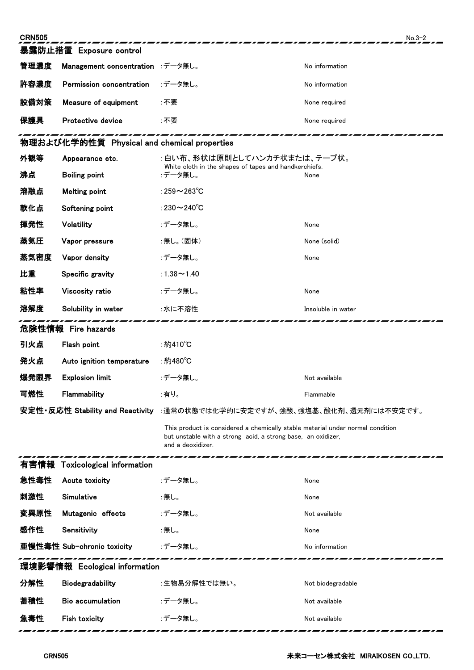| <b>CRN505</b>                               |                                  |                                                                                                                                                                     | $No.3-2$           |  |  |  |
|---------------------------------------------|----------------------------------|---------------------------------------------------------------------------------------------------------------------------------------------------------------------|--------------------|--|--|--|
|                                             | 暴露防止措置 Exposure control          |                                                                                                                                                                     |                    |  |  |  |
| 管理濃度                                        | Management concentration :データ無し。 |                                                                                                                                                                     | No information     |  |  |  |
| 許容濃度                                        | Permission concentration         | :データ無し。                                                                                                                                                             | No information     |  |  |  |
| 設備対策                                        | Measure of equipment             | ∶不要                                                                                                                                                                 | None required      |  |  |  |
| 保護具                                         | Protective device                | :不要                                                                                                                                                                 | None required      |  |  |  |
| 物理および化学的性質 Physical and chemical properties |                                  |                                                                                                                                                                     |                    |  |  |  |
| 外観等                                         | Appearance etc.                  | :白い布、形状は原則としてハンカチ状または、テープ状。<br>White cloth in the shapes of tapes and handkerchiefs.                                                                                |                    |  |  |  |
| 沸点                                          | <b>Boiling point</b>             | :データ無し。                                                                                                                                                             | None               |  |  |  |
| 溶融点                                         | <b>Melting point</b>             | :259 $\sim$ 263 $^{\circ}$ C                                                                                                                                        |                    |  |  |  |
| 軟化点                                         | Softening point                  | :230 $\sim$ 240 $\degree$ C                                                                                                                                         |                    |  |  |  |
| 揮発性                                         | Volatility                       | :データ無し。                                                                                                                                                             | None               |  |  |  |
| 蒸気圧                                         | Vapor pressure                   | :無し。(固体)                                                                                                                                                            | None (solid)       |  |  |  |
| 蒸気密度                                        | Vapor density                    | :データ無し。                                                                                                                                                             | None               |  |  |  |
| 比重                                          | Specific gravity                 | :1.38 $\sim$ 1.40                                                                                                                                                   |                    |  |  |  |
| 粘性率                                         | Viscosity ratio                  | :データ無し。                                                                                                                                                             | None               |  |  |  |
| 溶解度                                         | Solubility in water              | :水に不溶性                                                                                                                                                              | Insoluble in water |  |  |  |
|                                             | 危険性情報 Fire hazards               |                                                                                                                                                                     |                    |  |  |  |
| 引火点                                         | Flash point                      | ∶約410℃                                                                                                                                                              |                    |  |  |  |
| 発火点                                         | Auto ignition temperature        | ∶約480℃                                                                                                                                                              |                    |  |  |  |
| 爆発限界                                        | <b>Explosion limit</b>           | :データ無し。                                                                                                                                                             | Not available      |  |  |  |
| 可燃性                                         | Flammability                     | ∶有り。                                                                                                                                                                | Flammable          |  |  |  |
|                                             |                                  | 安定性·反応性 Stability and Reactivity :通常の状態では化学的に安定ですが、強酸、強塩基、酸化剤、還元剤には不安定です。                                                                                           |                    |  |  |  |
|                                             |                                  | This product is considered a chemically stable material under normal condition<br>but unstable with a strong acid, a strong base, an oxidizer,<br>and a deoxidizer. |                    |  |  |  |
|                                             | 有害情報 Toxicological information   |                                                                                                                                                                     |                    |  |  |  |
| 急性毒性                                        | Acute toxicity                   | :データ無し。                                                                                                                                                             | None               |  |  |  |
| 刺激性                                         | Simulative                       | :無し。                                                                                                                                                                | None               |  |  |  |
| 変異原性                                        | Mutagenic effects                | :データ無し。                                                                                                                                                             | Not available      |  |  |  |
| 感作性                                         | Sensitivity                      | :無し。                                                                                                                                                                | None               |  |  |  |
|                                             | 亜慢性毒性 Sub-chronic toxicity       | :データ無し。                                                                                                                                                             | No information     |  |  |  |
| 環境影響情報 Ecological information               |                                  |                                                                                                                                                                     |                    |  |  |  |
| 分解性                                         | Biodegradability                 | :生物易分解性では無い。                                                                                                                                                        | Not biodegradable  |  |  |  |
| 蓄積性                                         | <b>Bio accumulation</b>          | :データ無し。                                                                                                                                                             | Not available      |  |  |  |
| 魚毒性                                         | Fish toxicity                    | :データ無し。                                                                                                                                                             | Not available      |  |  |  |